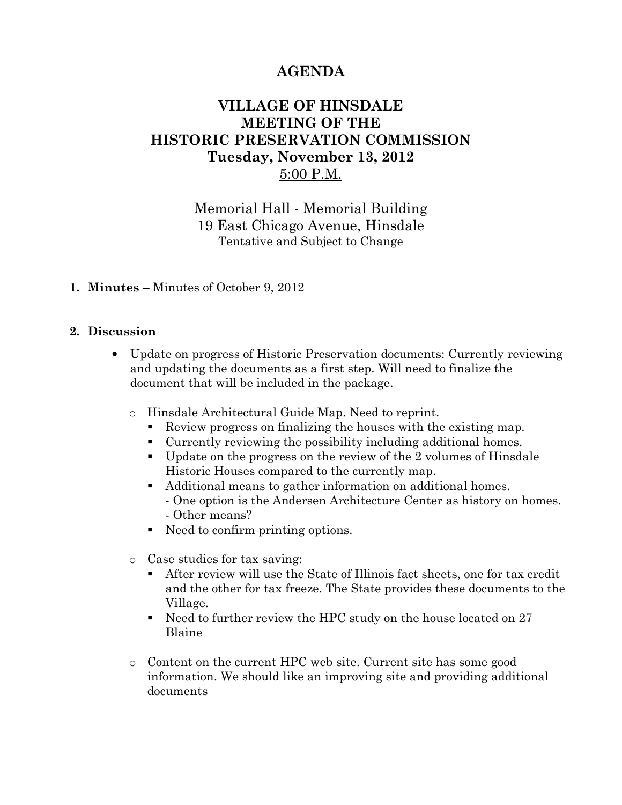# AGENDA

## VILLAGE OF HINSDALE MEETING OF THE HISTORIC PRESERVATION COMMISSION Tuesday, November 13, 2012 5:00 P.M.

Memorial Hall - Memorial Building 19 East Chicago Avenue, Hinsdale Tentative and Subject to Change

#### 1. Minutes – Minutes of October 9, 2012

#### 2. Discussion

- Update on progress of Historic Preservation documents: Currently reviewing and updating the documents as a first step. Will need to finalize the document that will be included in the package.
	- o Hinsdale Architectural Guide Map. Need to reprint.
		- Review progress on finalizing the houses with the existing map.
		- Currently reviewing the possibility including additional homes.
		- Update on the progress on the review of the 2 volumes of Hinsdale Historic Houses compared to the currently map.
		- Additional means to gather information on additional homes. - One option is the Andersen Architecture Center as history on homes. - Other means?
		- Need to confirm printing options.
	- o Case studies for tax saving:
		- After review will use the State of Illinois fact sheets, one for tax credit and the other for tax freeze. The State provides these documents to the Village.
		- Need to further review the HPC study on the house located on 27 Blaine
	- o Content on the current HPC web site. Current site has some good information. We should like an improving site and providing additional documents